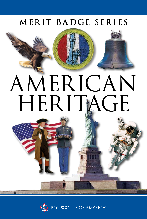### MERIT BADGE SERIES

# AMERICAN HERITAGE

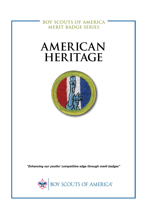**BOY SCOUTS OF AMERICA MERIT BADGE SERIES**

## **American Heritage**



*"Enhancing our youths' competitive edge through merit badges"*

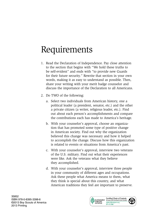## Requirements

- 1. Read the Declaration of Independence. Pay close attention to the section that begins with "We hold these truths to be self-evident" and ends with "to provide new Guards for their future security." Rewrite that section in your own words, making it as easy to understand as possible. Then, share your writing with your merit badge counselor and discuss the importance of the Declaration to all Americans.
- 2. Do TWO of the following:
	- a. Select two individuals from American history, one a political leader (a president, senator, etc.) and the other a private citizen (a writer, religious leader, etc.). Find out about each person's accomplishments and compare the contributions each has made to America's heritage.
	- b. With your counselor's approval, choose an organization that has promoted some type of positive change in American society. Find out why the organization believed this change was necessary and how it helped to accomplish the change. Discuss how this organization is related to events or situations from America's past.
	- c. With your counselor's approval, interview two veterans of the U.S. military. Find out what their experiences were like. Ask the veterans what they believe they accomplished.
	- d. With your counselor's approval, interview three people in your community of different ages and occupations. Ask these people what America means to them, what they think is special about this country, and what American traditions they feel are important to preserve.

35852 ISBN 978-0-8395-3398-6 ©2013 Boy Scouts of America 2013 Printing

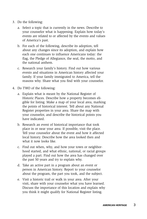- 3. Do the following:
	- a. Select a topic that is currently in the news. Describe to your counselor what is happening. Explain how today's events are related to or affected by the events and values of America's past.
	- b. For each of the following, describe its adoption, tell about any changes since its adoption, and explain how each one continues to influence Americans today: the flag, the Pledge of Allegiance, the seal, the motto, and the national anthem.
	- c. Research your family's history. Find out how various events and situations in American history affected your family. If your family immigrated to America, tell the reasons why. Share what you find with your counselor.
- 4. Do TWO of the following:
	- a. Explain what is meant by the National Register of Historic Places. Describe how a property becomes eligible for listing. Make a map of your local area, marking the points of historical interest. Tell about any National Register properties in your area. Share the map with your counselor, and describe the historical points you have indicated.
	- b. Research an event of historical importance that took place in or near your area. If possible, visit the place. Tell your counselor about the event and how it affected local history. Describe how the area looked then and what it now looks like.
	- c. Find out when, why, and how your town or neighborhood started, and what ethnic, national, or racial groups played a part. Find out how the area has changed over the past 50 years and try to explain why.
	- d. Take an active part in a program about an event or person in American history. Report to your counselor about the program, the part you took, and the subject.
	- e. Visit a historic trail or walk in your area. After your visit, share with your counselor what you have learned. Discuss the importance of this location and explain why you think it might qualify for National Register listing.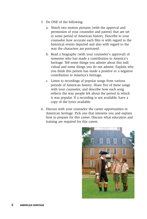- 5. Do ONE of the following:
	- a. Watch two motion pictures (with the approval and permission of your counselor and parent) that are set in some period of American history. Describe to your counselor how accurate each film is with regard to the historical events depicted and also with regard to the way the characters are portrayed.
	- b. Read a biography (with your counselor's approval) of someone who has made a contribution to America's heritage. Tell some things you admire about this individual and some things you do not admire. Explain why you think this person has made a positive or a negative contribution to America's heritage.
	- c. Listen to recordings of popular songs from various periods of American history. Share five of these songs with your counselor, and describe how each song reflects the way people felt about the period in which it was popular. If a recording is not available, have a copy of the lyrics available.
- 6. Discuss with your counselor the career opportunities in American heritage. Pick one that interests you and explain how to prepare for this career. Discuss what education and training are required for this career.

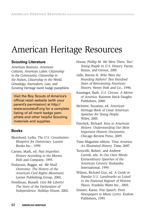## American Heritage Resources

#### **Scouting Literature**

*American Business, American Cultures, American Labor, Citizenship in the Community, Citizenship in the Nation, Citizenship in the World, Genealogy, Journalism, Law,* and *Scouting Heritage* merit badge pamphlets

Visit the Boy Scouts of America's official retail website (with your parent's permission) at http:// www.scoutstuff.org for a complete listing of all merit badge pamphlets and other helpful Scouting materials and supplies.

#### **Books**

- Bjornlund, Lydia. *The U.S. Constitution: Blueprint for Democracy.* Lucent Books Inc., 1999.
- Carnes, Mark, ed. *Past Imperfect: History According to the Movies.* Holt and Company, 1995.
- Finlayson, Reggie, ed. *We Shall Overcome: The History of the American Civil Rights Movement.* Lerner Publishing Group, 2002.
- Freedman, Russell. *Give Me Liberty! The Story of the Declaration of Independence.* Holiday House, 2002.

Hoose, Phillip M. *We Were There, Too!: Young People in U.S. History.* Farrar, Straus, and Giroux, 2001.

- Jaffe, Steven H. *Who Were the Founding Fathers? Two Hundred Years of Reinventing American History.* Henry Holt and Co., 1996.
- Kassinger, Ruth. *U.S. Census: A Mirror of America.* Raintree Steck-Vaughn Publishers, 2000.
- McIntire, Suzanne, ed. *American Heritage Book of Great American Speeches for Young People.* Wiley, 2001.
- Panchyk, Richard. *Keys to American History: Understanding Our Most Important Historic Documents.* Chicago Review Press, 2009.
- Time Magazine editors. *Time America: An Illustrated History.* Time, 2007.

Torricelli, Robert, and Andrew Carroll, eds. *In Our Own Words: Extraordinary Speeches of the American Century.* Kodansha International, 1999.

Wilson, Richard Guy, ed. *A Guide to Popular U.S. Landmarks as Listed in the National Register of Historic Places.* Franklin Watts Inc., 2003.

Zeinert, Karen. *Free Speech: From Newspapers to Music Lyrics.* Enslow Publishers, 1995.